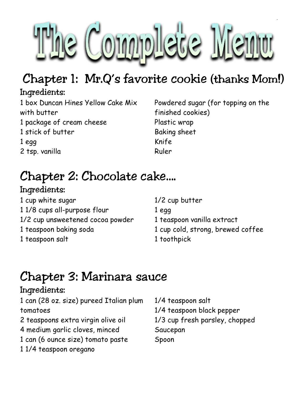

### Chapter 1: Mr.Q's favorite cookie (thanks Mom!)

### Ingredients:

1 box Duncan Hines Yellow Cake Mix with butter 1 package of cream cheese 1 stick of butter 1 egg 2 tsp. vanilla

Powdered sugar (for topping on the finished cookies) Plastic wrap Baking sheet Knife Ruler

## Chapter 2: Chocolate cake….

### Ingredients:

1 cup white sugar 1 1/8 cups all-purpose flour 1/2 cup unsweetened cocoa powder 1 teaspoon baking soda 1 teaspoon salt

1/2 cup butter 1 egg 1 teaspoon vanilla extract 1 cup cold, strong, brewed coffee 1 toothpick

### Chapter 3: Marinara sauce

### Ingredients:

| 1 can (28 oz. size) pureed Italian plum | 1/4 teaspoon salt              |
|-----------------------------------------|--------------------------------|
| tomatoes                                | 1/4 teaspoon black pepper      |
| 2 teaspoons extra virgin olive oil      | 1/3 cup fresh parsley, chopped |
| 4 medium garlic cloves, minced          | Saucepan                       |
| 1 can (6 ounce size) tomato paste       | Spoon                          |
| 11/4 teaspoon oregano                   |                                |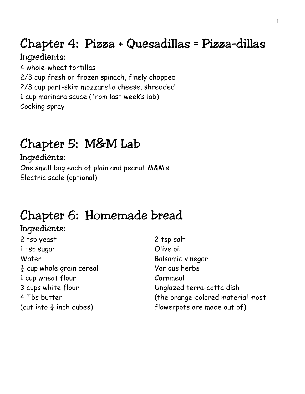### Chapter 4: Pizza + Quesadillas = Pizza-dillas

#### Ingredients:

4 whole-wheat tortillas 2/3 cup fresh or frozen spinach, finely chopped 2/3 cup part-skim mozzarella cheese, shredded 1 cup marinara sauce (from last week's lab) Cooking spray

### Chapter 5: M&M Lab

#### Ingredients:

One small bag each of plain and peanut M&M's Electric scale (optional)

### Chapter 6: Homemade bread

#### Ingredients: 2 tsp yeast 1 tsp sugar Water  $\frac{1}{2}$  cup whole grain cereal 1 cup wheat flour 3 cups white flour

4 Tbs butter (cut into  $\frac{1}{4}$  inch cubes) 2 tsp salt Olive oil Balsamic vinegar Various herbs Cornmeal Unglazed terra-cotta dish (the orange-colored material most flowerpots are made out of)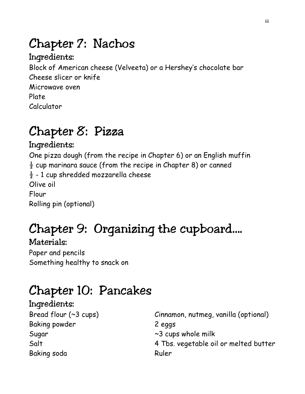### Chapter 7: Nachos

#### Ingredients:

Block of American cheese (Velveeta) or a Hershey's chocolate bar Cheese slicer or knife Microwave oven Plate Calculator

### Chapter 8: Pizza

#### Ingredients:

One pizza dough (from the recipe in Chapter 6) or an English muffin  $\frac{1}{2}$  cup marinara sauce (from the recipe in Chapter 8) or canned  $\frac{1}{2}$  - 1 cup shredded mozzarella cheese Olive oil Flour Rolling pin (optional)

# Chapter 9: Organizing the cupboard….

Materials: Paper and pencils Something healthy to snack on

## Chapter 10: Pancakes

#### Ingredients: Bread flour (~3 cups) Baking powder Sugar Salt Baking soda

Cinnamon, nutmeg, vanilla (optional) 2 eggs ~3 cups whole milk 4 Tbs. vegetable oil or melted butter Ruler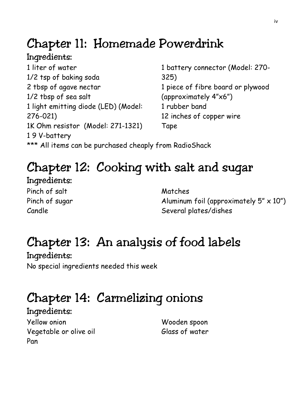### Chapter 11: Homemade Powerdrink

### Ingredients:

1 liter of water 1/2 tsp of baking soda 2 tbsp of agave nectar 1/2 tbsp of sea salt 1 light emitting diode (LED) (Model: 276-021) 1K Ohm resistor (Model: 271-1321) 1 9 V-battery

1 battery connector (Model: 270- 325) 1 piece of fibre board or plywood (approximately 4"x6") 1 rubber band 12 inches of copper wire Tape

\*\*\* All items can be purchased cheaply from RadioShack

## Chapter 12: Cooking with salt and sugar

Ingredients: Pinch of salt Pinch of sugar Candle

Matches Aluminum foil (approximately  $5'' \times 10''$ ) Several plates/dishes

## Chapter 13: An analysis of food labels

Ingredients: No special ingredients needed this week

## Chapter 14: Carmelizing onions

Ingredients: Yellow onion Vegetable or olive oil Pan

Wooden spoon Glass of water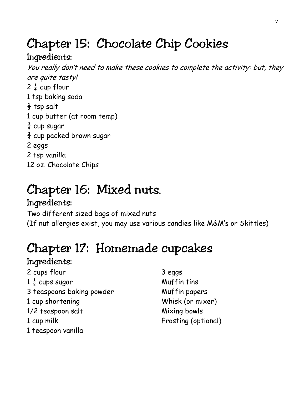### Chapter 15: Chocolate Chip Cookies

### Ingredients:

You really don't need to make these cookies to complete the activity: but, they are quite tasty!  $2\frac{1}{4}$  cup flour 1 tsp baking soda  $\frac{1}{2}$  tsp salt 1 cup butter (at room temp)  $rac{3}{4}$  cup sugar  $\frac{3}{4}$  cup packed brown sugar 2 eggs 2 tsp vanilla 12 oz. Chocolate Chips

### Chapter 16: Mixed nuts..

### Ingredients:

Two different sized bags of mixed nuts (If nut allergies exist, you may use various candies like M&M's or Skittles)

## Chapter 17: Homemade cupcakes

#### Ingredients:

2 cups flour  $1\frac{1}{2}$  cups sugar 3 teaspoons baking powder 1 cup shortening 1/2 teaspoon salt 1 cup milk 1 teaspoon vanilla

3 eggs Muffin tins Muffin papers Whisk (or mixer) Mixing bowls Frosting (optional)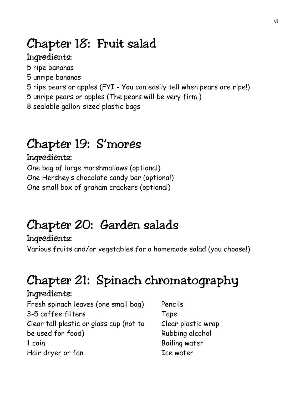### Chapter 18: Fruit salad

#### Ingredients:

- 5 ripe bananas
- 5 unripe bananas
- 5 ripe pears or apples (FYI You can easily tell when pears are ripe!)
- 5 unripe pears or apples (The pears will be very firm.)
- 8 sealable gallon-sized plastic bags

## Chapter 19: S'mores

### Ingredients:

One bag of large marshmallows (optional) One Hershey's chocolate candy bar (optional) One small box of graham crackers (optional)

## Chapter 20: Garden salads

#### Ingredients: Various fruits and/or vegetables for a homemade salad (you choose!)

## Chapter 21: Spinach chromatography

#### Ingredients:

Fresh spinach leaves (one small bag) 3-5 coffee filters Clear tall plastic or glass cup (not to be used for food) 1 coin Hair dryer or fan

Pencils Tape Clear plastic wrap Rubbing alcohol Boiling water Ice water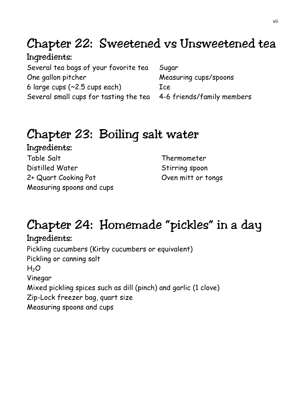### Chapter 22: Sweetened vs Unsweetened tea

Ingredients: Several tea bags of your favorite tea One gallon pitcher 6 large cups (~2.5 cups each) Several small cups for tasting the tea 4-6 friends/family members

Sugar Measuring cups/spoons Ice

### Chapter 23: Boiling salt water

Ingredients: Table Salt Distilled Water 2+ Quart Cooking Pot Measuring spoons and cups

Thermometer Stirring spoon Oven mitt or tongs

# Chapter 24: Homemade "pickles" in a day

Ingredients: Pickling cucumbers (Kirby cucumbers or equivalent) Pickling or canning salt  $H<sub>2</sub>O$ Vinegar Mixed pickling spices such as dill (pinch) and garlic (1 clove) Zip-Lock freezer bag, quart size Measuring spoons and cups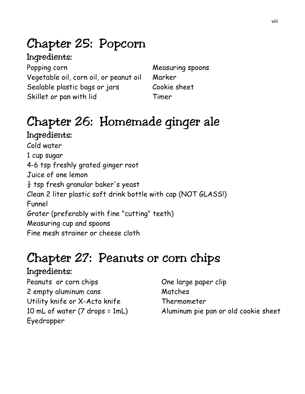## Chapter 25: Popcorn

### Ingredients:

Popping corn Vegetable oil, corn oil, or peanut oil Sealable plastic bags or jars Skillet or pan with lid

Measuring spoons Marker Cookie sheet Timer

### Chapter 26: Homemade ginger ale Ingredients:

Cold water 1 cup sugar 4-6 tsp freshly grated ginger root Juice of one lemon  $\frac{1}{4}$  tsp fresh granular baker's yeast Clean 2 liter plastic soft drink bottle with cap (NOT GLASS!) Funnel Grater (preferably with fine "cutting" teeth) Measuring cup and spoons Fine mesh strainer or cheese cloth

## Chapter 27: Peanuts or corn chips

#### Ingredients:

Peanuts or corn chips 2 empty aluminum cans Utility knife or X-Acto knife 10 mL of water (7 drops = 1mL) Eyedropper

One large paper clip Matches Thermometer Aluminum pie pan or old cookie sheet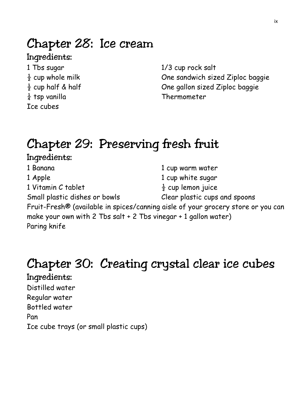### Chapter 28: Ice cream

### Ingredients:

1 Tbs sugar  $\frac{1}{2}$  cup whole milk  $\frac{1}{2}$  cup half & half  $\frac{1}{4}$  tsp vanilla Ice cubes

1/3 cup rock salt One sandwich sized Ziploc baggie One gallon sized Ziploc baggie Thermometer

### Chapter 29: Preserving fresh fruit

Ingredients: 1 Banana 1 Apple 1 Vitamin C tablet 1 cup warm water 1 cup white sugar  $\frac{1}{2}$  cup lemon juice Small plastic dishes or bowls Clear plastic cups and spoons Fruit-Fresh® (available in spices/canning aisle of your grocery store or you can make your own with 2 Tbs salt + 2 Tbs vinegar + 1 gallon water) Paring knife

### Chapter 30: Creating crystal clear ice cubes

Ingredients: Distilled water Regular water Bottled water Pan Ice cube trays (or small plastic cups)